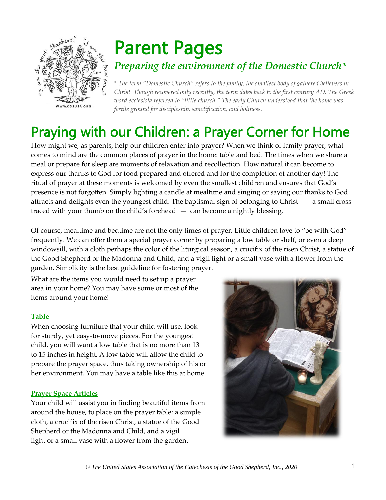

# Parent Pages *Preparing the environment of the Domestic Church\**

*\* The term "Domestic Church" refers to the family, the smallest body of gathered believers in Christ. Though recovered only recently, the term dates back to the first century AD. The Greek word ecclesiola referred to "little church." The early Church understood that the home was fertile ground for discipleship, sanctification, and holiness.*

# Praying with our Children: a Prayer Corner for Home

How might we, as parents, help our children enter into prayer? When we think of family prayer, what comes to mind are the common places of prayer in the home: table and bed. The times when we share a meal or prepare for sleep are moments of relaxation and recollection. How natural it can become to express our thanks to God for food prepared and offered and for the completion of another day! The ritual of prayer at these moments is welcomed by even the smallest children and ensures that God's presence is not forgotten. Simply lighting a candle at mealtime and singing or saying our thanks to God attracts and delights even the youngest child. The baptismal sign of belonging to Christ — a small cross traced with your thumb on the child's forehead — can become a nightly blessing.

Of course, mealtime and bedtime are not the only times of prayer. Little children love to "be with God" frequently. We can offer them a special prayer corner by preparing a low table or shelf, or even a deep windowsill, with a cloth perhaps the color of the liturgical season, a crucifix of the risen Christ, a statue of the Good Shepherd or the Madonna and Child, and a vigil light or a small vase with a flower from the garden. Simplicity is the best guideline for fostering prayer.

What are the items you would need to set up a prayer area in your home? You may have some or most of the items around your home!

## **Table**

When choosing furniture that your child will use, look for sturdy, yet easy-to-move pieces. For the youngest child, you will want a low table that is no more than 13 to 15 inches in height. A low table will allow the child to prepare the prayer space, thus taking ownership of his or her environment. You may have a table like this at home.

#### **Prayer Space Articles**

Your child will assist you in finding beautiful items from around the house, to place on the prayer table: a simple cloth, a crucifix of the risen Christ, a statue of the Good Shepherd or the Madonna and Child, and a vigil light or a small vase with a flower from the garden.

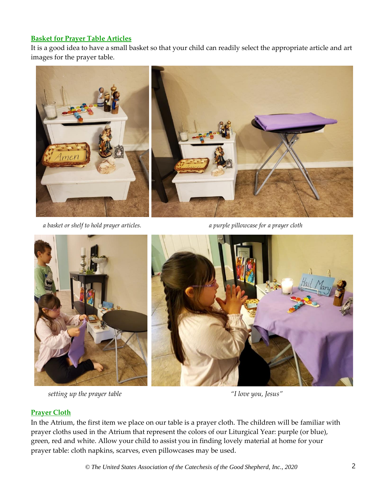# **Basket for Prayer Table Articles**

It is a good idea to have a small basket so that your child can readily select the appropriate article and art images for the prayer table.



*a basket or shelf to hold prayer articles. a purple pillowcase for a prayer cloth*



 *setting up the prayer table "I love you, Jesus"*



## **Prayer Cloth**

In the Atrium, the first item we place on our table is a prayer cloth. The children will be familiar with prayer cloths used in the Atrium that represent the colors of our Liturgical Year: purple (or blue), green, red and white. Allow your child to assist you in finding lovely material at home for your prayer table: cloth napkins, scarves, even pillowcases may be used.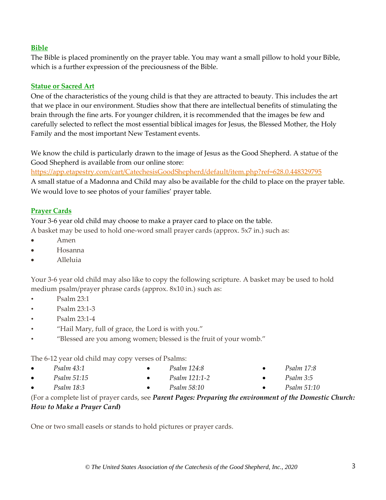#### **Bible**

The Bible is placed prominently on the prayer table. You may want a small pillow to hold your Bible, which is a further expression of the preciousness of the Bible.

#### **Statue or Sacred Art**

One of the characteristics of the young child is that they are attracted to beauty. This includes the art that we place in our environment. Studies show that there are intellectual benefits of stimulating the brain through the fine arts. For younger children, it is recommended that the images be few and carefully selected to reflect the most essential biblical images for Jesus, the Blessed Mother, the Holy Family and the most important New Testament events.

We know the child is particularly drawn to the image of Jesus as the Good Shepherd. A statue of the Good Shepherd is available from our online store:

https://app.etapestry.com/cart/CatechesisGoodShepherd/default/item.php?ref=628.0.448329795

A small statue of a Madonna and Child may also be available for the child to place on the prayer table. We would love to see photos of your families' prayer table.

## **Prayer Cards**

Your 3-6 year old child may choose to make a prayer card to place on the table.

A basket may be used to hold one-word small prayer cards (approx. 5x7 in.) such as:

- Amen
- Hosanna
- Alleluia

Your 3-6 year old child may also like to copy the following scripture. A basket may be used to hold medium psalm/prayer phrase cards (approx. 8x10 in.) such as:

- Psalm 23:1
- Psalm 23:1-3
- Psalm 23:1-4
- "Hail Mary, full of grace, the Lord is with you."
- "Blessed are you among women; blessed is the fruit of your womb."

The 6-12 year old child may copy verses of Psalms:

- *Psalm 43:1* • *Psalm 124:8*
- *Psalm 51:15*
- *Psalm 121:1-2* • *Psalm 58:10*
- *Psalm 17:8* • *Psalm 3:5*
- *Psalm 51:10*
- *Psalm 18:3* (For a complete list of prayer cards, see *Parent Pages: Preparing the environment of the Domestic Church: How to Make a Prayer Card***)**

One or two small easels or stands to hold pictures or prayer cards.